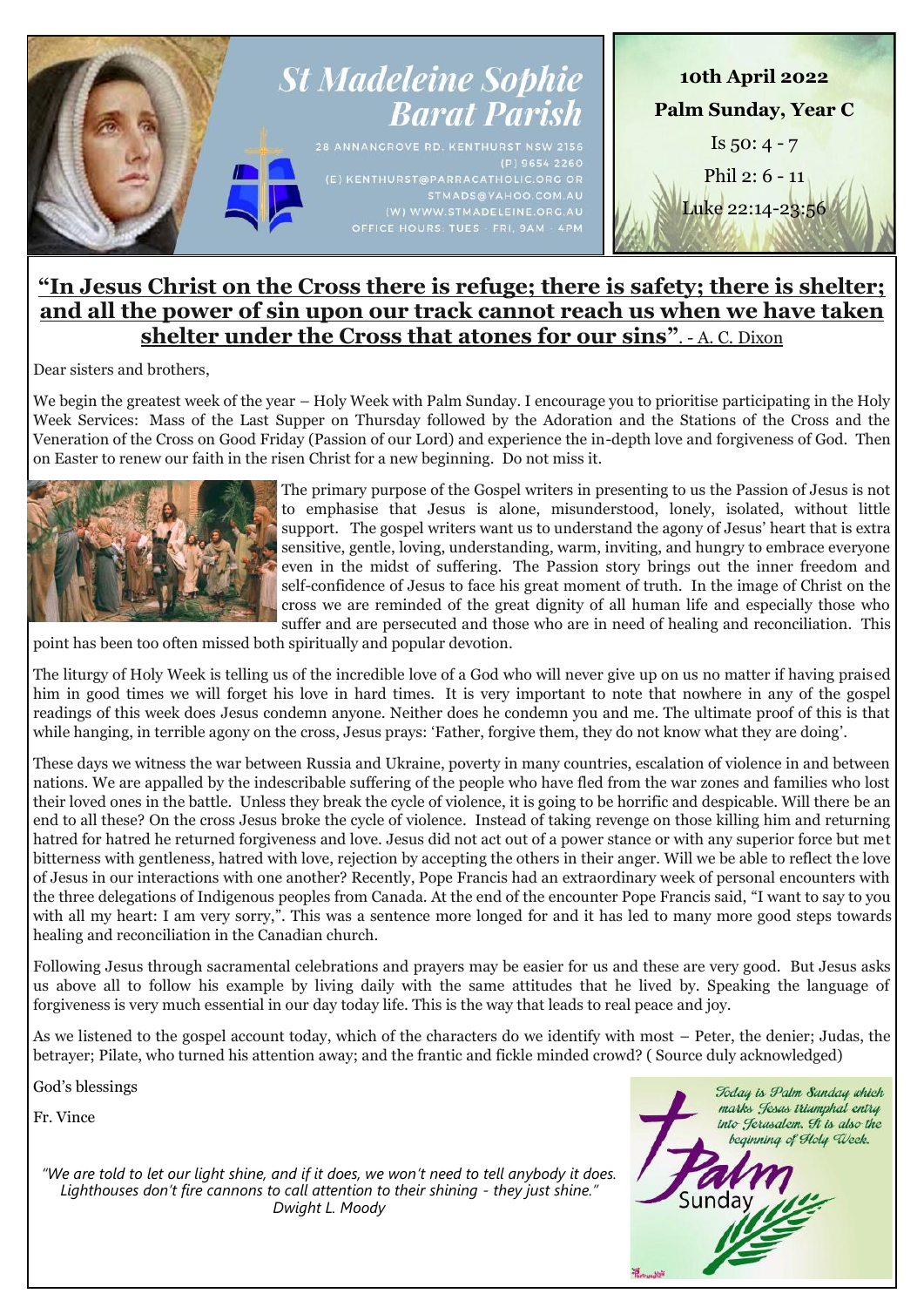

# **"In Jesus Christ on the Cross there is refuge; there is safety; there is shelter; and all the power of sin upon our track cannot reach us when we have taken shelter under the Cross that atones for our sins"**. - A. C. Dixon

Dear sisters and brothers,

We begin the greatest week of the year – Holy Week with Palm Sunday. I encourage you to prioritise participating in the Holy Week Services: Mass of the Last Supper on Thursday followed by the Adoration and the Stations of the Cross and the Veneration of the Cross on Good Friday (Passion of our Lord) and experience the in-depth love and forgiveness of God. Then on Easter to renew our faith in the risen Christ for a new beginning. Do not miss it.



The primary purpose of the Gospel writers in presenting to us the Passion of Jesus is not to emphasise that Jesus is alone, misunderstood, lonely, isolated, without little support. The gospel writers want us to understand the agony of Jesus' heart that is extra sensitive, gentle, loving, understanding, warm, inviting, and hungry to embrace everyone even in the midst of suffering. The Passion story brings out the inner freedom and self-confidence of Jesus to face his great moment of truth. In the image of Christ on the cross we are reminded of the great dignity of all human life and especially those who suffer and are persecuted and those who are in need of healing and reconciliation. This

point has been too often missed both spiritually and popular devotion.

The liturgy of Holy Week is telling us of the incredible love of a God who will never give up on us no matter if having praised him in good times we will forget his love in hard times. It is very important to note that nowhere in any of the gospel readings of this week does Jesus condemn anyone. Neither does he condemn you and me. The ultimate proof of this is that while hanging, in terrible agony on the cross, Jesus prays: 'Father, forgive them, they do not know what they are doing'.

These days we witness the war between Russia and Ukraine, poverty in many countries, escalation of violence in and between nations. We are appalled by the indescribable suffering of the people who have fled from the war zones and families who lost their loved ones in the battle. Unless they break the cycle of violence, it is going to be horrific and despicable. Will there be an end to all these? On the cross Jesus broke the cycle of violence. Instead of taking revenge on those killing him and returning hatred for hatred he returned forgiveness and love. Jesus did not act out of a power stance or with any superior force but met bitterness with gentleness, hatred with love, rejection by accepting the others in their anger. Will we be able to reflect the love of Jesus in our interactions with one another? Recently, Pope Francis had an extraordinary week of personal encounters with the three delegations of Indigenous peoples from Canada. At the end of the encounter Pope Francis said, "I want to say to you with all my heart: I am very sorry,". This was a sentence more longed for and it has led to many more good steps towards healing and reconciliation in the Canadian church.

Following Jesus through sacramental celebrations and prayers may be easier for us and these are very good. But Jesus asks us above all to follow his example by living daily with the same attitudes that he lived by. Speaking the language of forgiveness is very much essential in our day today life. This is the way that leads to real peace and joy.

As we listened to the gospel account today, which of the characters do we identify with most – Peter, the denier; Judas, the betrayer; Pilate, who turned his attention away; and the frantic and fickle minded crowd? ( Source duly acknowledged)

God's blessings

Fr. Vince

*"We are told to let our light shine, and if it does, we won't need to tell anybody it does.*  Lighthouses don't fire cannons to call attention to their shining - they just shine." *Dwight L. Moody*

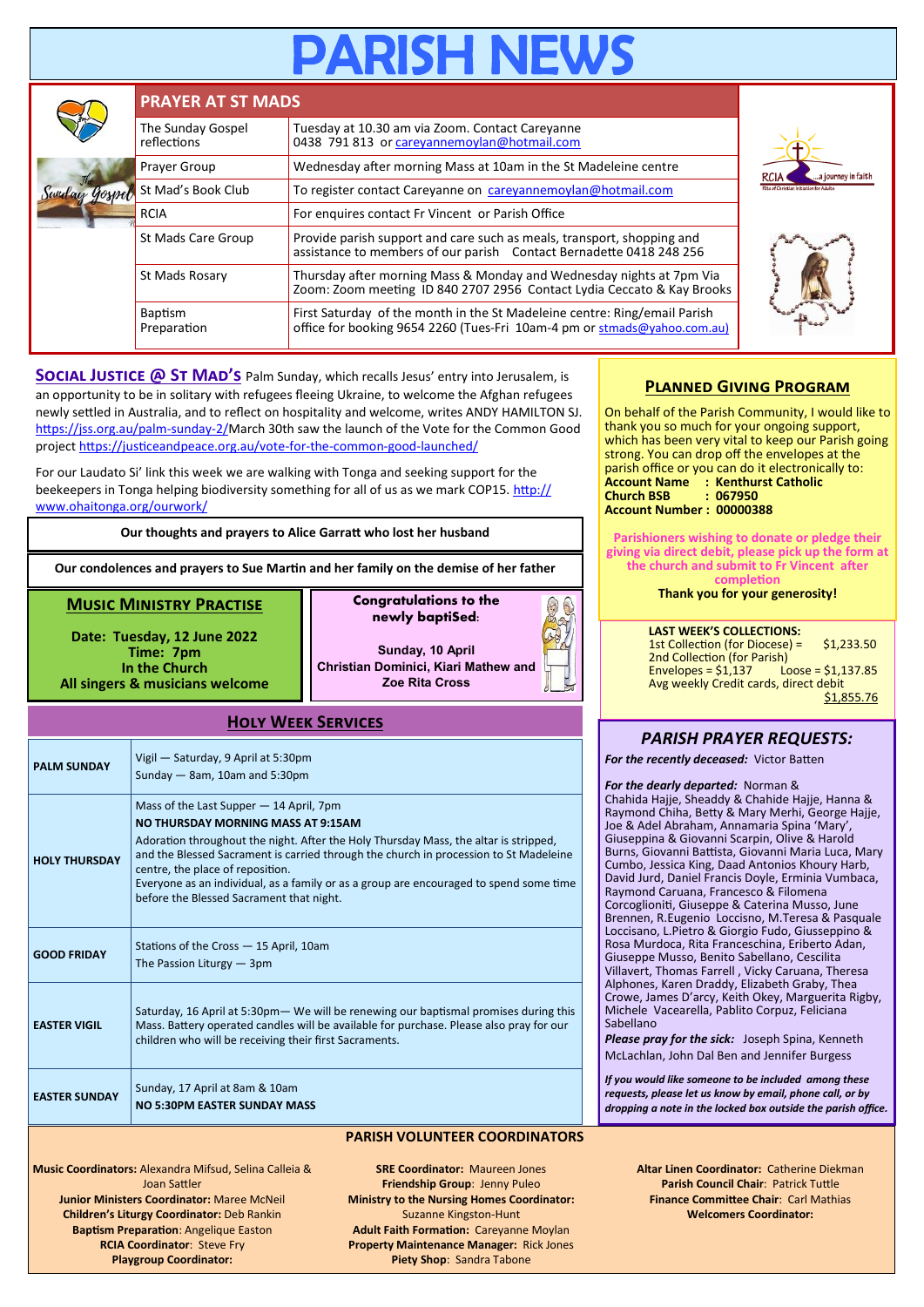|  | <b>PRAYER AT ST MADS</b>         |                                                                                                                                                       |                                   |  |  |  |
|--|----------------------------------|-------------------------------------------------------------------------------------------------------------------------------------------------------|-----------------------------------|--|--|--|
|  | The Sunday Gospel<br>reflections | Tuesday at 10.30 am via Zoom. Contact Careyanne<br>0438 791 813 or careyannemoylan@hotmail.com                                                        |                                   |  |  |  |
|  | Prayer Group                     | Wednesday after morning Mass at 10am in the St Madeleine centre                                                                                       | a journey in faith<br><b>RCIA</b> |  |  |  |
|  | St Mad's Book Club               | To register contact Careyanne on careyannemoylan@hotmail.com                                                                                          |                                   |  |  |  |
|  | <b>RCIA</b>                      | For enquires contact Fr Vincent or Parish Office                                                                                                      |                                   |  |  |  |
|  | St Mads Care Group               | Provide parish support and care such as meals, transport, shopping and<br>assistance to members of our parish Contact Bernadette 0418 248 256         |                                   |  |  |  |
|  | St Mads Rosary                   | Thursday after morning Mass & Monday and Wednesday nights at 7pm Via<br>Zoom: Zoom meeting ID 840 2707 2956 Contact Lydia Ceccato & Kay Brooks        |                                   |  |  |  |
|  | <b>Baptism</b><br>Preparation    | First Saturday of the month in the St Madeleine centre: Ring/email Parish<br>office for booking 9654 2260 (Tues-Fri 10am-4 pm or stmads@yahoo.com.au) |                                   |  |  |  |

**SOCIAL JUSTICE @ ST MAD'S** Palm Sunday, which recalls Jesus' entry into Jerusalem, is an opportunity to be in solitary with refugees fleeing Ukraine, to welcome the Afghan refugees newly settled in Australia, and to reflect on hospitality and welcome, writes ANDY HAMILTON SJ. [https://jss.org.au/palm](https://jss.org.au/palm-sunday-2/)-sunday-2/March 30th saw the launch of the Vote for the Common Good project [https://justiceandpeace.org.au/vote](https://justiceandpeace.org.au/vote-for-the-common-good-launched/)-for-the-common-good-launched/

For our Laudato Si' link this week we are walking with Tonga and seeking support for the beekeepers in Tonga helping biodiversity something for all of us as we mark COP15. [http://](http://www.ohaitonga.org/ourwork/) [www.ohaitonga.org/ourwork/](http://www.ohaitonga.org/ourwork/)

**Our thoughts and prayers to Alice Garratt who lost her husband**

**Our condolences and prayers to Sue Martin and her family on the demise of her father**

#### **Music Ministry Practise**

**Date: Tuesday, 12 June 2022 Time: 7pm In the Church All singers & musicians welcome**

**newly baptiSed: Sunday, 10 April Christian Dominici, Kiari Mathew and** 

**Congratulations to the** 

**Zoe Rita Cross**

### **Holy Week Services**

| <b>PALM SUNDAY</b>   | Vigil - Saturday, 9 April at 5:30pm<br>Sunday $-$ 8am, 10am and 5:30pm                                                                                                                                                                                                                                                                                                                                                                          |
|----------------------|-------------------------------------------------------------------------------------------------------------------------------------------------------------------------------------------------------------------------------------------------------------------------------------------------------------------------------------------------------------------------------------------------------------------------------------------------|
| <b>HOLY THURSDAY</b> | Mass of the Last Supper - 14 April, 7pm<br><b>NO THURSDAY MORNING MASS AT 9:15AM</b><br>Adoration throughout the night. After the Holy Thursday Mass, the altar is stripped,<br>and the Blessed Sacrament is carried through the church in procession to St Madeleine<br>centre, the place of reposition.<br>Everyone as an individual, as a family or as a group are encouraged to spend some time<br>before the Blessed Sacrament that night. |
| <b>GOOD FRIDAY</b>   | Stations of the Cross - 15 April, 10am<br>The Passion Liturgy $-3$ pm                                                                                                                                                                                                                                                                                                                                                                           |
| <b>FASTER VIGIL</b>  | Saturday, 16 April at 5:30pm - We will be renewing our baptismal promises during this<br>Mass. Battery operated candles will be available for purchase. Please also pray for our<br>children who will be receiving their first Sacraments.                                                                                                                                                                                                      |
| <b>EASTER SUNDAY</b> | Sunday, 17 April at 8am & 10am<br><b>NO 5:30PM FASTER SUNDAY MASS</b>                                                                                                                                                                                                                                                                                                                                                                           |

#### **PARISH VOLUNTEER COORDINATORS**

**Music Coordinators:** Alexandra Mifsud, Selina Calleia & Joan Sattler **Junior Ministers Coordinator:** Maree McNeil **Children's Liturgy Coordinator:** Deb Rankin **Baptism Preparation**: Angelique Easton **RCIA Coordinator**: Steve Fry **Playgroup Coordinator:** 

**SRE Coordinator:** Maureen Jones **Friendship Group**: Jenny Puleo **Ministry to the Nursing Homes Coordinator:**  Suzanne Kingston-Hunt **Adult Faith Formation:** Careyanne Moylan **Property Maintenance Manager:** Rick Jones **Piety Shop**: Sandra Tabone

## **Planned Giving Program**

On behalf of the Parish Community, I would like to thank you so much for your ongoing support, which has been very vital to keep our Parish going strong. You can drop off the envelopes at the parish office or you can do it electronically to: **Account Name : Kenthurst Catholic Church BSB : 067950 Account Number : 00000388**

**Parishioners wishing to donate or pledge their giving via direct debit, please pick up the form at the church and submit to Fr Vincent after completion**

**Thank you for your generosity!**

**LAST WEEK'S COLLECTIONS:** 1st Collection (for Diocese) = \$1,233.50 2nd Collection (for Parish)<br>Envelopes = \$1,137 Loose = \$1,137.85 Envelopes =  $$1,137$ Avg weekly Credit cards, direct debit \$1,855.76

# *PARISH PRAYER REQUESTS:*

*For the recently deceased:* Victor Batten

*For the dearly departed:* Norman & Chahida Hajje, Sheaddy & Chahide Hajje, Hanna & Raymond Chiha, Betty & Mary Merhi, George Hajje, Joe & Adel Abraham, Annamaria Spina 'Mary', Giuseppina & Giovanni Scarpin, Olive & Harold Burns, Giovanni Battista, Giovanni Maria Luca, Mary Cumbo, Jessica King, Daad Antonios Khoury Harb, David Jurd, Daniel Francis Doyle, Erminia Vumbaca, Raymond Caruana, Francesco & Filomena Corcoglioniti, Giuseppe & Caterina Musso, June Brennen, R.Eugenio Loccisno, M.Teresa & Pasquale Loccisano, L.Pietro & Giorgio Fudo, Giusseppino & Rosa Murdoca, Rita Franceschina, Eriberto Adan, Giuseppe Musso, Benito Sabellano, Cescilita Villavert, Thomas Farrell , Vicky Caruana, Theresa Alphones, Karen Draddy, Elizabeth Graby, Thea Crowe, James D'arcy, Keith Okey, Marguerita Rigby, Michele Vacearella, Pablito Corpuz, Feliciana Sabellano

*Please pray for the sick:* Joseph Spina, Kenneth McLachlan, John Dal Ben and Jennifer Burgess

*If you would like someone to be included among these requests, please let us know by email, phone call, or by dropping a note in the locked box outside the parish office.*

> **Altar Linen Coordinator:** Catherine Diekman **Parish Council Chair**: Patrick Tuttle **Finance Committee Chair**: Carl Mathias **Welcomers Coordinator:**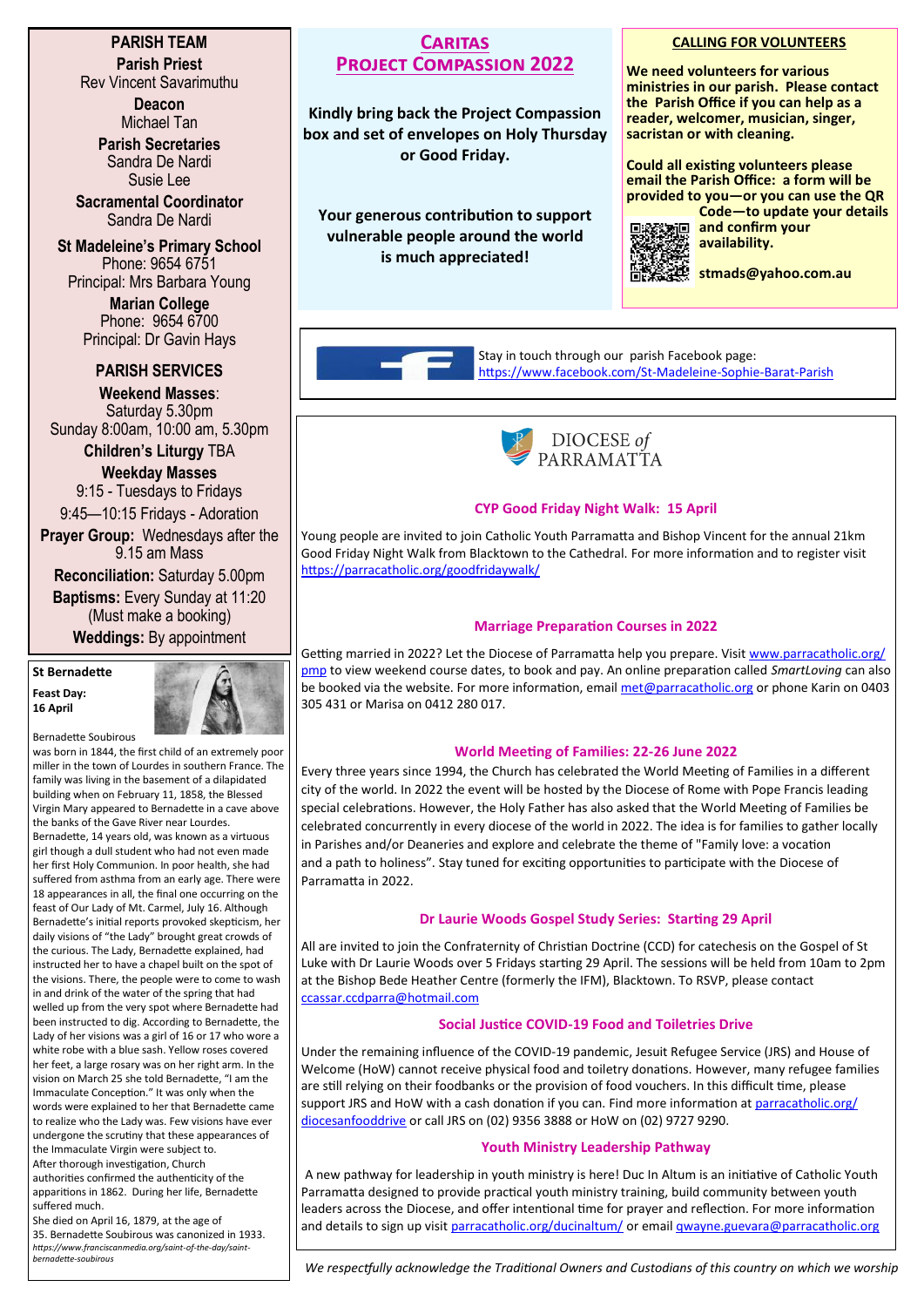# **PARISH TEAM Parish Priest**

Rev Vincent Savarimuthu

**Deacon** Michael Tan

**Parish Secretaries** Sandra De Nardi Susie Lee

**Sacramental Coordinator** Sandra De Nardi

**St Madeleine's Primary School** Phone: 9654 6751 Principal: Mrs Barbara Young

> **Marian College** Phone: 9654 6700 Principal: Dr Gavin Hays

# **PARISH SERVICES**

**Weekend Masses**: Saturday 5.30pm Sunday 8:00am, 10:00 am, 5.30pm

> **Children's Liturgy** TBA **Weekday Masses**

9:15 - Tuesdays to Fridays 9:45—10:15 Fridays - Adoration

**Prayer Group:** Wednesdays after the 9.15 am Mass

**Reconciliation:** Saturday 5.00pm **Baptisms:** Every Sunday at 11:20 (Must make a booking)

**Weddings:** By appointment

#### **St Bernadette Feast Day: 16 April**



Bernadette Soubirous

was born in 1844, the first child of an extremely poor miller in the town of Lourdes in southern France. The family was living in the basement of a dilapidated building when on February 11, 1858, the Blessed Virgin Mary appeared to Bernadette in a cave above the banks of the Gave River near Lourdes. Bernadette, 14 years old, was known as a virtuous girl though a dull student who had not even made her first Holy Communion. In poor health, she had suffered from asthma from an early age. There were 18 appearances in all, the final one occurring on the feast of Our Lady of Mt. Carmel, July 16. Although Bernadette's initial reports provoked skepticism, her daily visions of "the Lady" brought great crowds of the curious. The Lady, Bernadette explained, had instructed her to have a chapel built on the spot of the visions. There, the people were to come to wash in and drink of the water of the spring that had welled up from the very spot where Bernadette had been instructed to dig. According to Bernadette, the Lady of her visions was a girl of 16 or 17 who wore a white robe with a blue sash. Yellow roses covered her feet, a large rosary was on her right arm. In the vision on March 25 she told Bernadette, "I am the Immaculate Conception." It was only when the words were explained to her that Bernadette came to realize who the Lady was. Few visions have ever undergone the scrutiny that these appearances of the Immaculate Virgin were subject to. After thorough investigation, Church

authorities confirmed the authenticity of the apparitions in 1862. During her life, Bernadette suffered much.

She died on April 16, 1879, at the age of 35. Bernadette Soubirous was canonized in 1933. *https://www.franciscanmedia.org/saint-of-the-day/saintbernadette-soubirous*

# **Caritas Project Compassion 2022**

**Kindly bring back the Project Compassion box and set of envelopes on Holy Thursday or Good Friday.**

**Your generous contribution to support vulnerable people around the world is much appreciated!**

# **CALLING FOR VOLUNTEERS**

**We need volunteers for various ministries in our parish. Please contact the Parish Office if you can help as a reader, welcomer, musician, singer, sacristan or with cleaning.**

**Could all existing volunteers please email the Parish Office: a form will be provided to you—or you can use the QR Code—to update your details** 



**and confirm your availability.** 

**stmads@yahoo.com.au**

Stay in touch through our parish Facebook page: [https://www.facebook.com/St](https://www.facebook.com/St-Madeleine-Sophie-Barat-Parish-172182352871811/)-Madeleine-Sophie-Barat-Parish



## **CYP Good Friday Night Walk: 15 April**

Young people are invited to join Catholic Youth Parramatta and Bishop Vincent for the annual 21km Good Friday Night Walk from Blacktown to the Cathedral. For more information and to register visit <https://parracatholic.org/goodfridaywalk/>

# **Marriage Preparation Courses in 2022**

Getting married in 2022? Let the Diocese of Parramatta help you prepare. Visit [www.parracatholic.org/](http://www.parracatholic.org/pmp) [pmp](http://www.parracatholic.org/pmp) to view weekend course dates, to book and pay. An online preparation called *SmartLoving* can also be booked via the website. For more information, email [met@parracatholic.org](mailto:met@parracatholic.org) or phone Karin on 0403 305 431 or Marisa on 0412 280 017.

### **World Meeting of Families: 22-26 June 2022**

Every three years since 1994, the Church has celebrated the World Meeting of Families in a different city of the world. In 2022 the event will be hosted by the Diocese of Rome with Pope Francis leading special celebrations. However, the Holy Father has also asked that the World Meeting of Families be celebrated concurrently in every diocese of the world in 2022. The idea is for families to gather locally in Parishes and/or Deaneries and explore and celebrate the theme of "Family love: a vocation and a path to holiness". Stay tuned for exciting opportunities to participate with the Diocese of Parramatta in 2022.

# **Dr Laurie Woods Gospel Study Series: Starting 29 April**

All are invited to join the Confraternity of Christian Doctrine (CCD) for catechesis on the Gospel of St Luke with Dr Laurie Woods over 5 Fridays starting 29 April. The sessions will be held from 10am to 2pm at the Bishop Bede Heather Centre (formerly the IFM), Blacktown. To RSVP, please contact [ccassar.ccdparra@hotmail.com](mailto:ccassar.ccdparra@hotmail.com)

# **Social Justice COVID-19 Food and Toiletries Drive**

Under the remaining influence of the COVID-19 pandemic, Jesuit Refugee Service (JRS) and House of Welcome (HoW) cannot receive physical food and toiletry donations. However, many refugee families are still relying on their foodbanks or the provision of food vouchers. In this difficult time, please support JRS and HoW with a cash donation if you can. Find more information at [parracatholic.org/](http://parracatholic.org/diocesanfooddrive) [diocesanfooddrive](http://parracatholic.org/diocesanfooddrive) or call JRS on (02) 9356 3888 or HoW on (02) 9727 9290.

# **Youth Ministry Leadership Pathway**

A new pathway for leadership in youth ministry is here! Duc In Altum is an initiative of Catholic Youth Parramatta designed to provide practical youth ministry training, build community between youth leaders across the Diocese, and offer intentional time for prayer and reflection. For more information and details to sign up visit [parracatholic.org/ducinaltum/](https://parracatholic.org/ducinaltum/) or email [qwayne.guevara@parracatholic.org](mailto:qwayne.guevara@parracatholic.org)